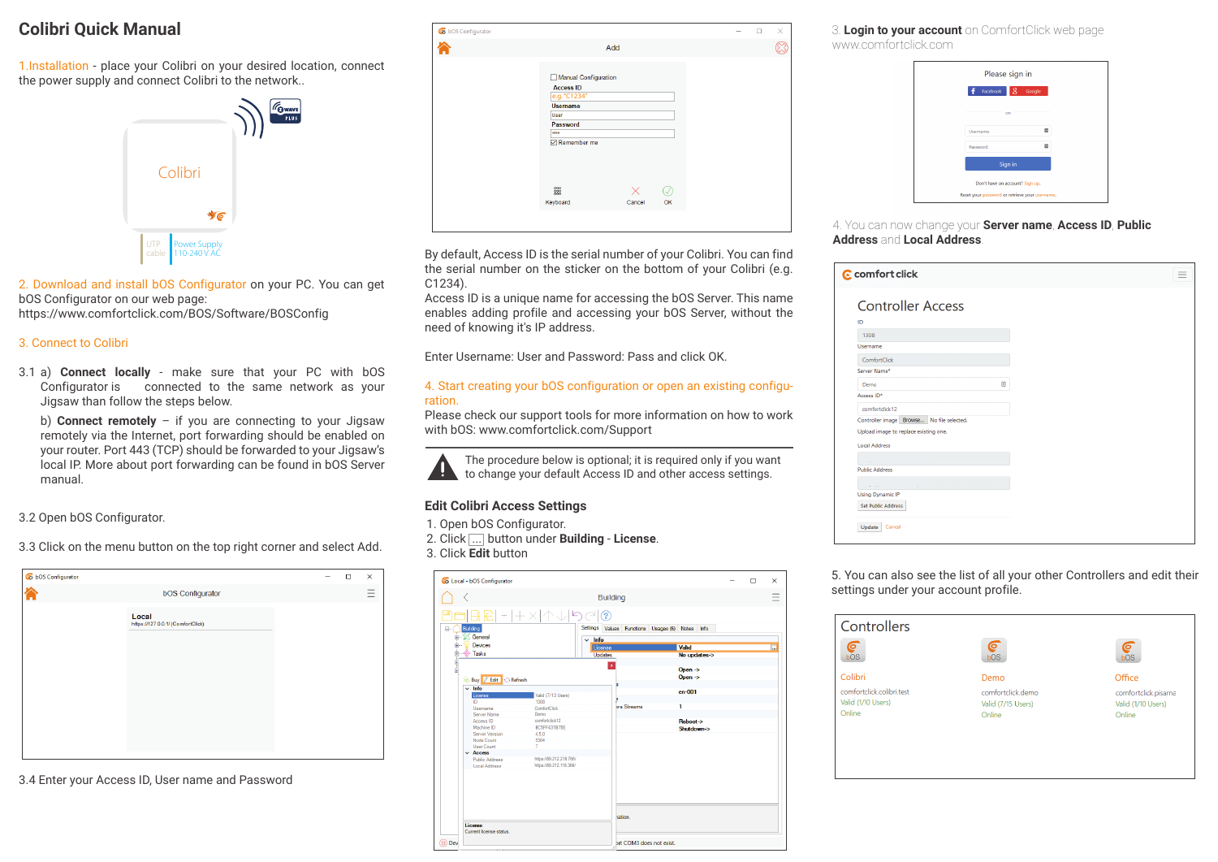## **Colibri Quick Manual**

1.Installation - place your Colibri on your desired location, connect the power supply and connect Colibri to the network..



2. Download and install bOS Configurator on your PC. You can get bOS Configurator on our web page: https://www.comfortclick.com/BOS/Software/BOSConfig

#### 3. Connect to Colibri

3.1 a) **Connect locally** - make sure that your PC with bOS Configurator is connected to the same network as your Jigsaw than follow the steps below.

b) **Connect remotely** – if you are connecting to your Jigsaw remotely via the Internet, port forwarding should be enabled on your router. Port 443 (TCP) should be forwarded to your Jigsaw's local IP. More about port forwarding can be found in bOS Server manual.

3.2 Open bOS Configurator.

3.3 Click on the menu button on the top right corner and select Add.

| Co bOS Configurator |                                            |  | $\Box$ | ×      |
|---------------------|--------------------------------------------|--|--------|--------|
|                     | <b>bOS Configurator</b>                    |  |        | -<br>- |
|                     | Local<br>https://127.0.0.1/ (ComfortClick) |  |        |        |
|                     |                                            |  |        |        |

3.4 Enter your Access ID, User name and Password

|                                                                                                                               | Add         |          |  |  |
|-------------------------------------------------------------------------------------------------------------------------------|-------------|----------|--|--|
| Manual Configuration<br><b>Access ID</b><br>e.g. "C1234"<br><b>Username</b><br>User<br>Password<br><b>STEE</b><br>Remember me |             |          |  |  |
| 0000<br>Keyboard                                                                                                              | ×<br>Cancel | O.<br>OK |  |  |

By default, Access ID is the serial number of your Colibri. You can find the serial number on the sticker on the bottom of your Colibri (e.g. C1234).

Access ID is a unique name for accessing the bOS Server. This name enables adding profile and accessing your bOS Server, without the need of knowing it's IP address.

Enter Username: User and Password: Pass and click OK.

### 4. Start creating your bOS configuration or open an existing configuration.

Please check our support tools for more information on how to work with bOS: www.comfortclick.com/Support

The procedure below is optional; it is required only if you want **the language of the contract of the contract of the team** to change your default Access lD and other access settings.

## **Edit Colibri Access Settings**

- 1. Open bOS Configurator.
- 2. Click ... button under **Building License**.

3. Click **Edit** button

|                                                                           | Cocal - bOS Configurator                                                                                                                                                                                                  |                                                                                                                                                                                             |                                                        |                            |                                                                                                                                                                 | $\Box$ | ×        |
|---------------------------------------------------------------------------|---------------------------------------------------------------------------------------------------------------------------------------------------------------------------------------------------------------------------|---------------------------------------------------------------------------------------------------------------------------------------------------------------------------------------------|--------------------------------------------------------|----------------------------|-----------------------------------------------------------------------------------------------------------------------------------------------------------------|--------|----------|
|                                                                           |                                                                                                                                                                                                                           |                                                                                                                                                                                             |                                                        | <b>Building</b>            |                                                                                                                                                                 |        |          |
| Building<br>F-<br>E S General<br>æ.<br>in de Tasks<br>月上<br>$~\vee~$ Info | Devices<br><b>Buy Edit Refresh</b><br>License<br>ID<br>Hsername<br>Server Name<br>Access ID<br>Machine ID<br>Server Version<br>Node Count<br><b>User Count</b><br>$\vee$ Access<br><b>Public Address</b><br>Local Address | BR -- +× 个↓ り @<br>Valid (7/13 Users)<br>1308<br>ComfortClick<br>Demo<br>comforteliek 12<br><b>BC5FF431B78E</b><br>4.5.0<br>5304<br>7<br>https://89.212.218.766/<br>https://89.212.118.366/ | ಿ<br>Info<br>$\checkmark$<br>License<br><b>Updates</b> | $\mathbf{x}$<br>ra Streams | Settings Values Functions Usages (6) Notes Info<br>Valid<br>No updates-><br>$Open \rightarrow$<br>Open $\rightarrow$<br>$en-001$<br>1<br>Reboot-><br>Shutdown-> |        | $\cdots$ |
| License                                                                   | Current license status                                                                                                                                                                                                    |                                                                                                                                                                                             |                                                        | lation.                    |                                                                                                                                                                 |        |          |
| Dev                                                                       |                                                                                                                                                                                                                           |                                                                                                                                                                                             |                                                        | art COM3 does not exist.   |                                                                                                                                                                 |        |          |

3. **Login to your account** on ComfortClick web page www.comfortclick.com

| Please sign in                                 |          |
|------------------------------------------------|----------|
| 8<br>Facebook                                  | Google   |
| OR                                             |          |
| <b>Username</b>                                | $\equiv$ |
| Password                                       | 罡        |
| Sign in                                        |          |
| Don't have an account? Sign up.                |          |
| Reset your password or retrieve your username. |          |

#### 4. You can now change your **Server name**, **Access ID**, **Public Address** and **Local Address**.

| C comfort click                       |                                        |
|---------------------------------------|----------------------------------------|
| <b>Controller Access</b>              |                                        |
| ID                                    |                                        |
| 1308                                  |                                        |
| Username                              |                                        |
| ComfortClick                          |                                        |
| Server Name*                          |                                        |
| Demo                                  | $\begin{array}{c} \square \end{array}$ |
| Access ID*                            |                                        |
| comfortclick12                        |                                        |
| Controller image                      | Browse No file selected.               |
| Upload image to replace existing one. |                                        |
| <b>Local Address</b>                  |                                        |
|                                       |                                        |
| <b>Public Address</b>                 |                                        |
|                                       |                                        |
| <b>Using Dynamic IP</b>               |                                        |
| <b>Set Public Address</b>             |                                        |
| Update<br>Cancel                      |                                        |
|                                       |                                        |

5. You can also see the list of all your other Controllers and edit their settings under your account profile.

| Controllers               |                    |                      |
|---------------------------|--------------------|----------------------|
| $\epsilon$<br>bOS         | ē<br>bOS           | ⋐<br>bOS             |
| Colibri <sup>*</sup>      | Demo               | Office               |
| comfortclick.colibri.test | comfortclick demo  | comfortclick.pisarna |
| Valid (1/10 Users)        | Valid (7/15 Users) | Valid (1/10 Users)   |
| Online                    | Online             | Online               |